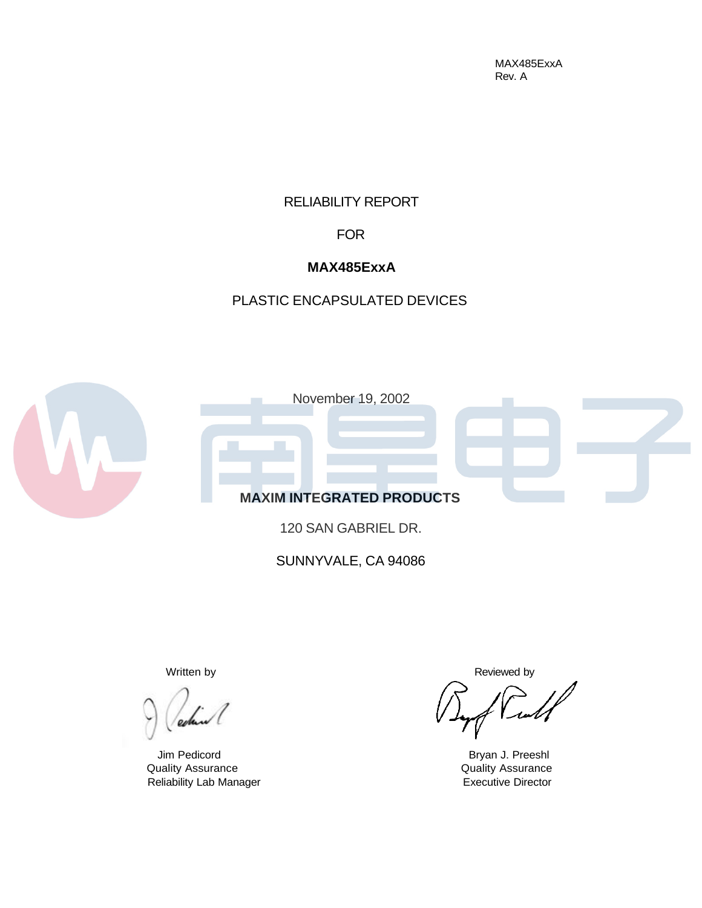MAX485ExxA Rev. A

### RELIABILITY REPORT

FOR

# **MAX485ExxA**

# PLASTIC ENCAPSULATED DEVICES



120 SAN GABRIEL DR.

SUNNYVALE, CA 94086

Quality Assurance Quality Assurance Reliability Lab Manager **Executive Director** Executive Director

Written by **Reviewed** by

Jim Pedicord **Bryan J. Preeshl**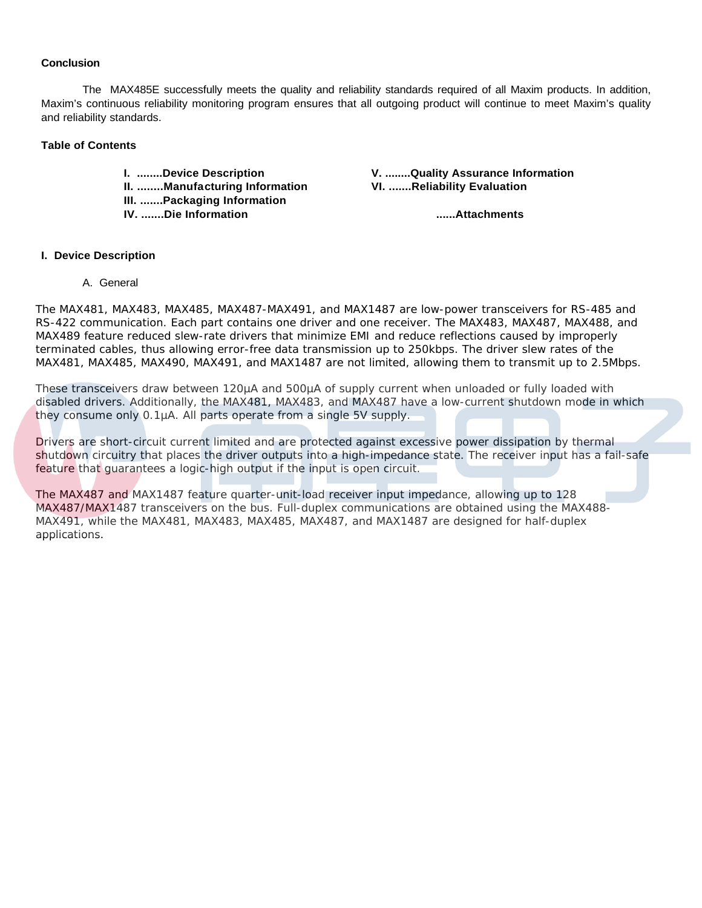#### **Conclusion**

The MAX485E successfully meets the quality and reliability standards required of all Maxim products. In addition, Maxim's continuous reliability monitoring program ensures that all outgoing product will continue to meet Maxim's quality and reliability standards.

#### **Table of Contents**

**II. ........Manufacturing Information VI. .......Reliability Evaluation III. .......Packaging Information IV. .......Die Information ......Attachments**

**I. ........Device Description V. ........Quality Assurance Information**

#### **I. Device Description**

A. General

The MAX481, MAX483, MAX485, MAX487-MAX491, and MAX1487 are low-power transceivers for RS-485 and RS-422 communication. Each part contains one driver and one receiver. The MAX483, MAX487, MAX488, and MAX489 feature reduced slew-rate drivers that minimize EMI and reduce reflections caused by improperly terminated cables, thus allowing error-free data transmission up to 250kbps. The driver slew rates of the MAX481, MAX485, MAX490, MAX491, and MAX1487 are not limited, allowing them to transmit up to 2.5Mbps.

These transceivers draw between 120µA and 500µA of supply current when unloaded or fully loaded with disabled drivers. Additionally, the MAX481, MAX483, and MAX487 have a low-current shutdown mode in which they consume only 0.1µA. All parts operate from a single 5V supply.

Drivers are short-circuit current limited and are protected against excessive power dissipation by thermal shutdown circuitry that places the driver outputs into a high-impedance state. The receiver input has a fail-safe feature that guarantees a logic-high output if the input is open circuit.

The MAX487 and MAX1487 feature quarter-unit-load receiver input impedance, allowing up to 128 MAX487/MAX1487 transceivers on the bus. Full-duplex communications are obtained using the MAX488- MAX491, while the MAX481, MAX483, MAX485, MAX487, and MAX1487 are designed for half-duplex applications.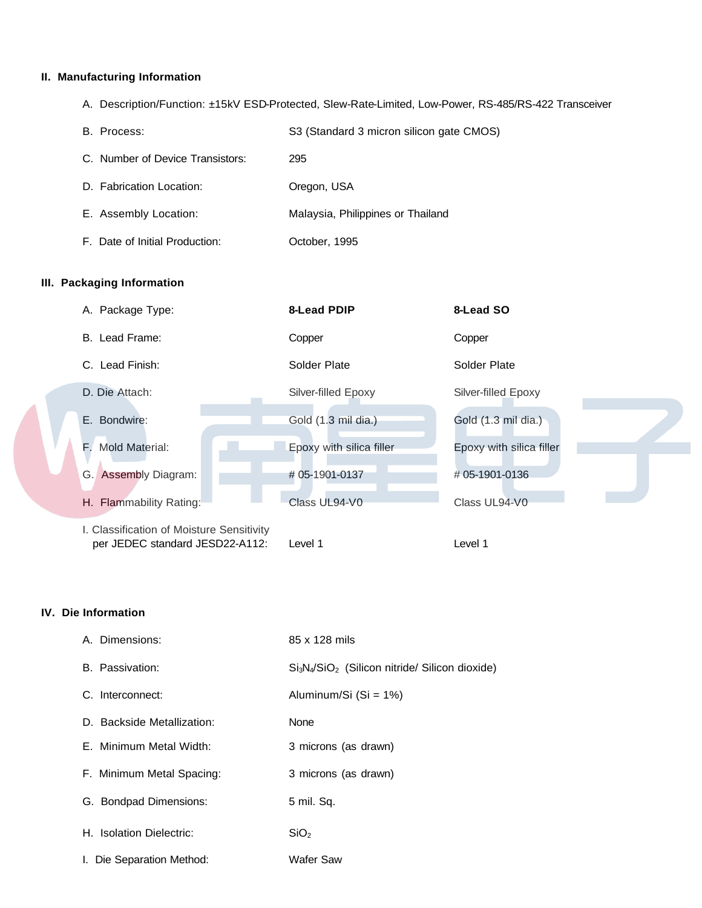## **II. Manufacturing Information**

A. Description/Function: ±15kV ESD-Protected, Slew-Rate-Limited, Low-Power, RS-485/RS-422 Transceiver

| B. Process:                      | S3 (Standard 3 micron silicon gate CMOS) |
|----------------------------------|------------------------------------------|
| C. Number of Device Transistors: | 295                                      |
| D. Fabrication Location:         | Oregon, USA                              |
| E. Assembly Location:            | Malaysia, Philippines or Thailand        |
| F. Date of Initial Production:   | October, 1995                            |

#### **III. Packaging Information**

| A. Package Type:                                                             | 8-Lead PDIP              | 8-Lead SO                |
|------------------------------------------------------------------------------|--------------------------|--------------------------|
| B. Lead Frame:                                                               | Copper                   | Copper                   |
| C. Lead Finish:                                                              | Solder Plate             | Solder Plate             |
| D. Die Attach:                                                               | Silver-filled Epoxy      | Silver-filled Epoxy      |
| E. Bondwire:                                                                 | Gold (1.3 mil dia.)      | Gold (1.3 mil dia.)      |
| F. Mold Material:                                                            | Epoxy with silica filler | Epoxy with silica filler |
| G. Assembly Diagram:                                                         | #05-1901-0137            | #05-1901-0136            |
| H. Flammability Rating:                                                      | Class UL94-V0            | Class UL94-V0            |
| I. Classification of Moisture Sensitivity<br>per JEDEC standard JESD22-A112: | Level 1                  | Level 1                  |

### **IV. Die Information**

| A. Dimensions:             | 85 x 128 mils                                   |
|----------------------------|-------------------------------------------------|
| B. Passivation:            | $Si3N4/SiO2$ (Silicon nitride/ Silicon dioxide) |
| C. Interconnect:           | Aluminum/Si (Si = 1%)                           |
| D. Backside Metallization: | None                                            |
| E. Minimum Metal Width:    | 3 microns (as drawn)                            |
| F. Minimum Metal Spacing:  | 3 microns (as drawn)                            |
| G. Bondpad Dimensions:     | 5 mil. Sq.                                      |
| H. Isolation Dielectric:   | SiO <sub>2</sub>                                |
| I. Die Separation Method:  | <b>Wafer Saw</b>                                |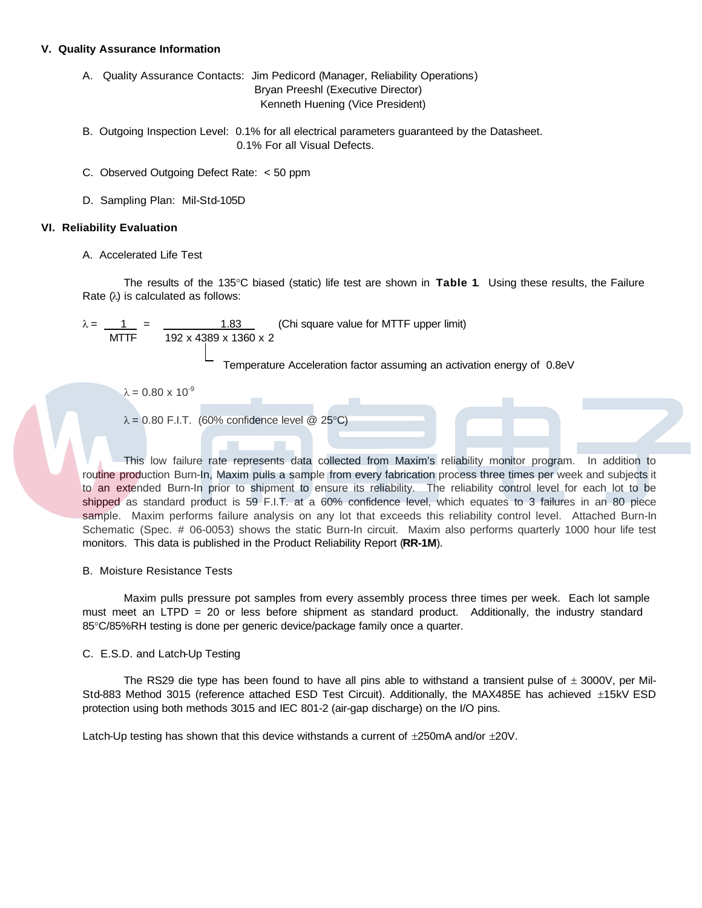#### **V. Quality Assurance Information**

A. Quality Assurance Contacts: Jim Pedicord (Manager, Reliability Operations) Bryan Preeshl (Executive Director) Kenneth Huening (Vice President)

- B. Outgoing Inspection Level: 0.1% for all electrical parameters guaranteed by the Datasheet. 0.1% For all Visual Defects.
- C. Observed Outgoing Defect Rate: < 50 ppm
- D. Sampling Plan: Mil-Std-105D

#### **VI. Reliability Evaluation**

A. Accelerated Life Test

The results of the 135°C biased (static) life test are shown in **Table 1**. Using these results, the Failure Rate (λ) is calculated as follows:

1.83 (Chi square value for MTTF upper limit) 192 x 4389 x 1360 x 2

Temperature Acceleration factor assuming an activation energy of 0.8eV

 $λ = 0.80 × 10<sup>-9</sup>$ 

 $\lambda = 0.80$  F.I.T. (60% confidence level @ 25°C)

This low failure rate represents data collected from Maxim's reliability monitor program. In addition to routine production Burn-In, Maxim pulls a sample from every fabrication process three times per week and subjects it to an extended Burn-In prior to shipment to ensure its reliability. The reliability control level for each lot to be shipped as standard product is 59 F.I.T. at a 60% confidence level, which equates to 3 failures in an 80 piece sample. Maxim performs failure analysis on any lot that exceeds this reliability control level. Attached Burn-In Schematic (Spec. # 06-0053) shows the static Burn-In circuit. Maxim also performs quarterly 1000 hour life test monitors. This data is published in the Product Reliability Report (**RR-1M**).

#### B. Moisture Resistance Tests

Maxim pulls pressure pot samples from every assembly process three times per week. Each lot sample must meet an LTPD = 20 or less before shipment as standard product. Additionally, the industry standard 85°C/85%RH testing is done per generic device/package family once a quarter.

#### C. E.S.D. and Latch-Up Testing

The RS29 die type has been found to have all pins able to withstand a transient pulse of  $\pm$  3000V, per Mil-Std-883 Method 3015 (reference attached ESD Test Circuit). Additionally, the MAX485E has achieved ±15kV ESD protection using both methods 3015 and IEC 801-2 (air-gap discharge) on the I/O pins.

Latch-Up testing has shown that this device withstands a current of  $\pm 250$ mA and/or  $\pm 20$ V.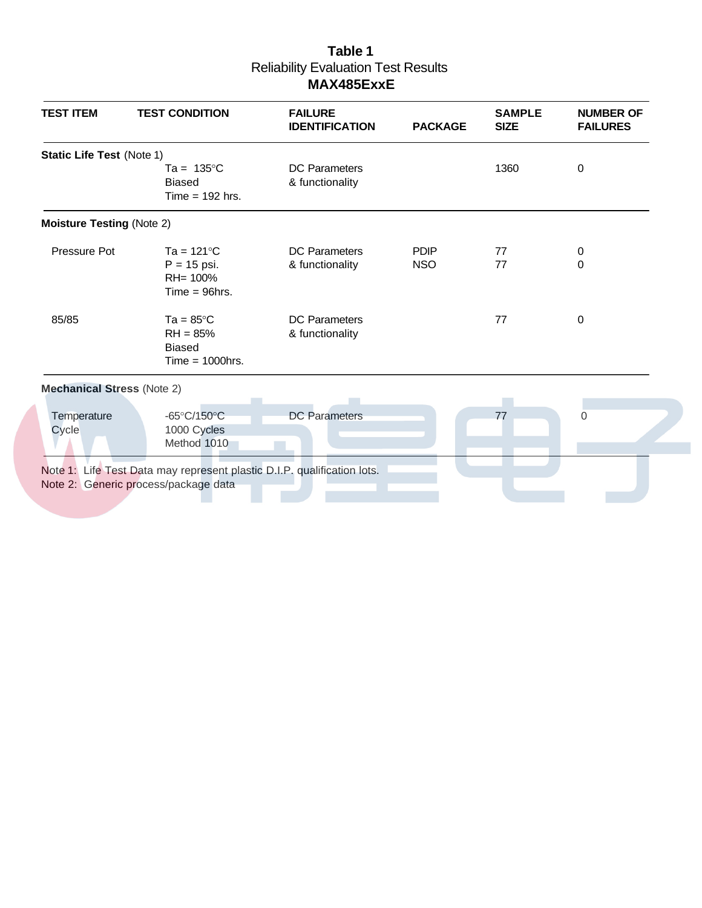# **Table 1** Reliability Evaluation Test Results **MAX485ExxE**

| <b>TEST ITEM</b>                  | <b>TEST CONDITION</b>                                                    | <b>FAILURE</b><br><b>IDENTIFICATION</b> | <b>PACKAGE</b>            | <b>SAMPLE</b><br><b>SIZE</b> | <b>NUMBER OF</b><br><b>FAILURES</b> |
|-----------------------------------|--------------------------------------------------------------------------|-----------------------------------------|---------------------------|------------------------------|-------------------------------------|
| <b>Static Life Test (Note 1)</b>  | Ta = $135^{\circ}$ C<br><b>Biased</b><br>Time $= 192$ hrs.               | <b>DC</b> Parameters<br>& functionality |                           | 1360                         | 0                                   |
| <b>Moisture Testing (Note 2)</b>  |                                                                          |                                         |                           |                              |                                     |
| Pressure Pot                      | Ta = $121^{\circ}$ C<br>$P = 15$ psi.<br>RH= 100%<br>$Time = 96$ hrs.    | <b>DC</b> Parameters<br>& functionality | <b>PDIP</b><br><b>NSO</b> | 77<br>77                     | 0<br>0                              |
| 85/85                             | Ta = $85^{\circ}$ C<br>$RH = 85%$<br><b>Biased</b><br>Time $=$ 1000 hrs. | <b>DC</b> Parameters<br>& functionality |                           | 77                           | $\mathbf 0$                         |
| <b>Mechanical Stress (Note 2)</b> |                                                                          |                                         |                           |                              |                                     |
| Temperature<br>Cycle              | $-65^{\circ}$ C/150 $^{\circ}$ C<br>1000 Cycles<br>Method 1010           | <b>DC</b> Parameters                    |                           | 77                           | $\Omega$                            |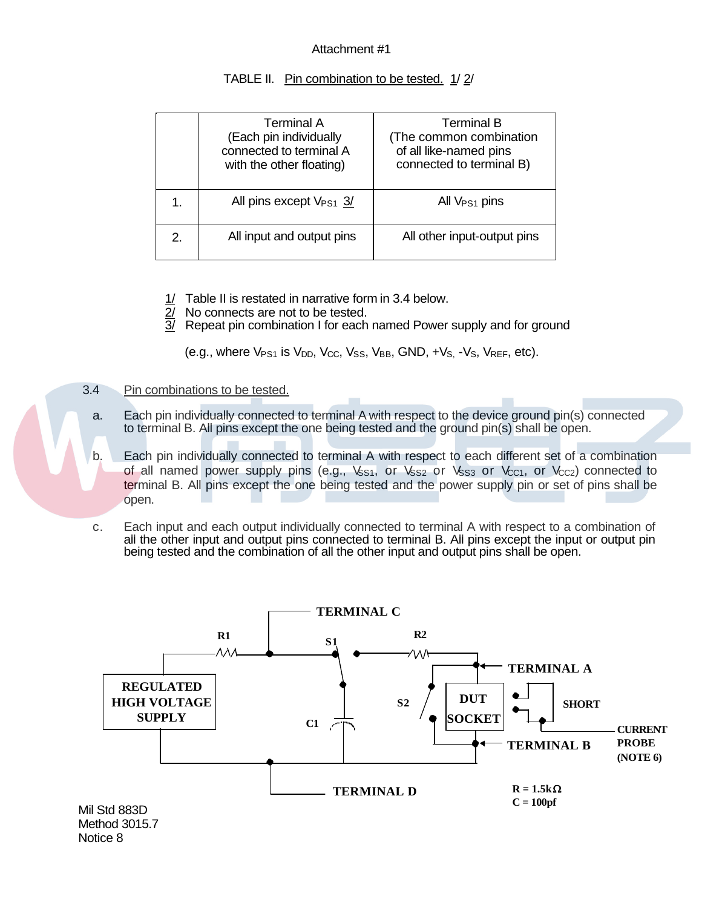## Attachment #1

| Terminal A<br>(Each pin individually<br>connected to terminal A<br>with the other floating) | Terminal B<br>(The common combination<br>of all like-named pins<br>connected to terminal B) |
|---------------------------------------------------------------------------------------------|---------------------------------------------------------------------------------------------|
| All pins except $V_{PS1}$ 3/                                                                | All $V_{PS1}$ pins                                                                          |
| All input and output pins                                                                   | All other input-output pins                                                                 |

## TABLE II. Pin combination to be tested. 1/2/

- 1/ Table II is restated in narrative form in 3.4 below.
- 2/ No connects are not to be tested.
- $\overline{3}$  Repeat pin combination I for each named Power supply and for ground

(e.g., where  $V_{PS1}$  is  $V_{DD}$ ,  $V_{CC}$ ,  $V_{SS}$ ,  $V_{BB}$ ,  $GND$ ,  $+V_{S}$ ,  $-V_{S}$ ,  $V_{REF}$ , etc).

### 3.4 Pin combinations to be tested.

- a. Each pin individually connected to terminal A with respect to the device ground pin(s) connected to terminal B. All pins except the one being tested and the ground pin(s) shall be open.
- b. Each pin individually connected to terminal A with respect to each different set of a combination of all named power supply pins (e.g., Vss1, or Vss2 or Vss3 or Vcc1, or Vcc2) connected to terminal B. All pins except the one being tested and the power supply pin or set of pins shall be open.

 c. Each input and each output individually connected to terminal A with respect to a combination of all the other input and output pins connected to terminal B. All pins except the input or output pin being tested and the combination of all the other input and output pins shall be open.

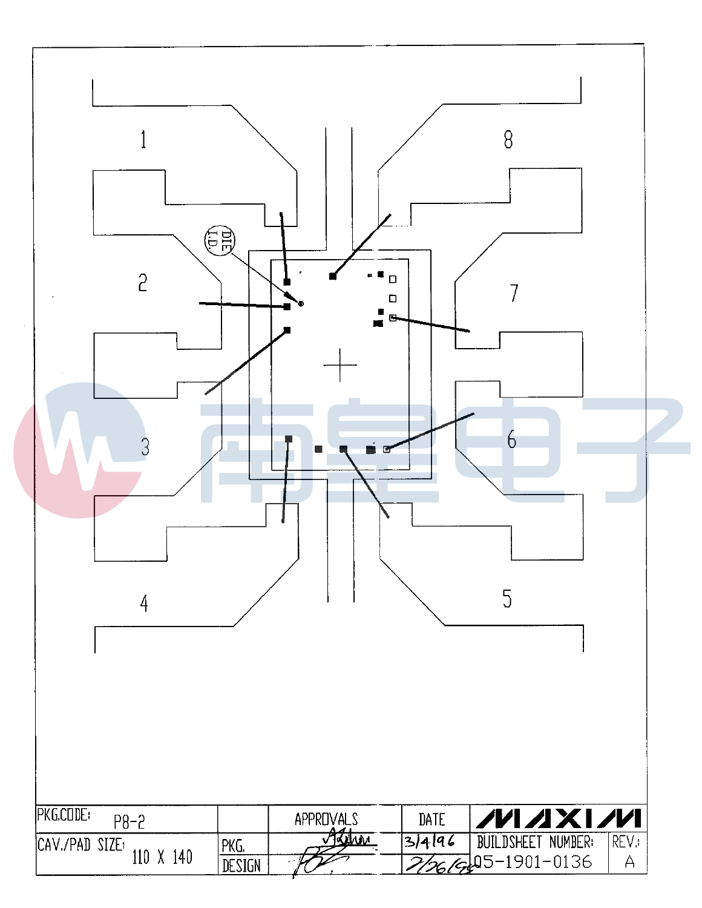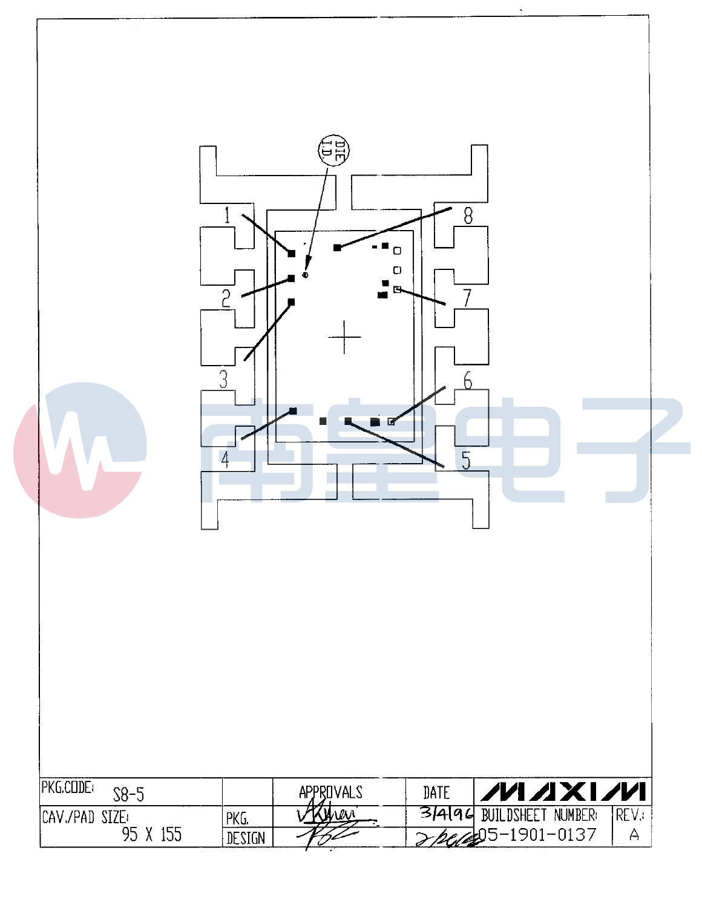